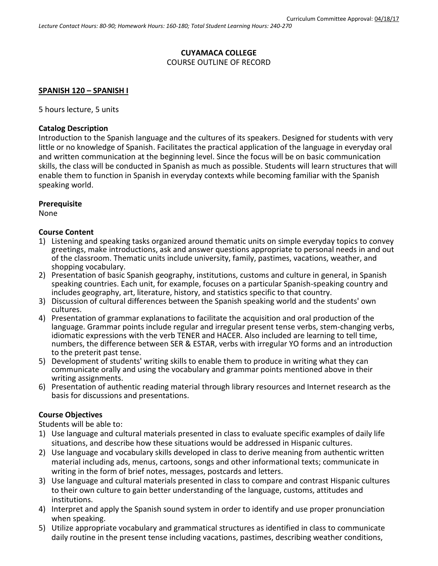# **CUYAMACA COLLEGE**

COURSE OUTLINE OF RECORD

#### **SPANISH 120 – SPANISH I**

5 hours lecture, 5 units

#### **Catalog Description**

Introduction to the Spanish language and the cultures of its speakers. Designed for students with very little or no knowledge of Spanish. Facilitates the practical application of the language in everyday oral and written communication at the beginning level. Since the focus will be on basic communication skills, the class will be conducted in Spanish as much as possible. Students will learn structures that will enable them to function in Spanish in everyday contexts while becoming familiar with the Spanish speaking world.

#### **Prerequisite**

None

#### **Course Content**

- 1) Listening and speaking tasks organized around thematic units on simple everyday topics to convey greetings, make introductions, ask and answer questions appropriate to personal needs in and out of the classroom. Thematic units include university, family, pastimes, vacations, weather, and shopping vocabulary.
- 2) Presentation of basic Spanish geography, institutions, customs and culture in general, in Spanish speaking countries. Each unit, for example, focuses on a particular Spanish-speaking country and includes geography, art, literature, history, and statistics specific to that country.
- 3) Discussion of cultural differences between the Spanish speaking world and the students' own cultures.
- 4) Presentation of grammar explanations to facilitate the acquisition and oral production of the language. Grammar points include regular and irregular present tense verbs, stem-changing verbs, idiomatic expressions with the verb TENER and HACER. Also included are learning to tell time, numbers, the difference between SER & ESTAR, verbs with irregular YO forms and an introduction to the preterit past tense.
- 5) Development of students' writing skills to enable them to produce in writing what they can communicate orally and using the vocabulary and grammar points mentioned above in their writing assignments.
- 6) Presentation of authentic reading material through library resources and Internet research as the basis for discussions and presentations.

#### **Course Objectives**

Students will be able to:

- 1) Use language and cultural materials presented in class to evaluate specific examples of daily life situations, and describe how these situations would be addressed in Hispanic cultures.
- 2) Use language and vocabulary skills developed in class to derive meaning from authentic written material including ads, menus, cartoons, songs and other informational texts; communicate in writing in the form of brief notes, messages, postcards and letters.
- 3) Use language and cultural materials presented in class to compare and contrast Hispanic cultures to their own culture to gain better understanding of the language, customs, attitudes and institutions.
- 4) Interpret and apply the Spanish sound system in order to identify and use proper pronunciation when speaking.
- 5) Utilize appropriate vocabulary and grammatical structures as identified in class to communicate daily routine in the present tense including vacations, pastimes, describing weather conditions,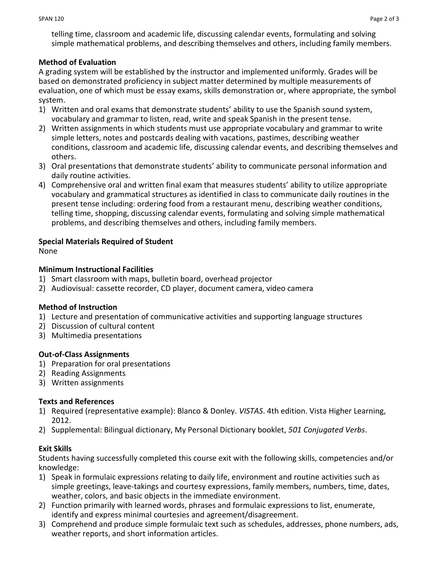telling time, classroom and academic life, discussing calendar events, formulating and solving simple mathematical problems, and describing themselves and others, including family members.

#### **Method of Evaluation**

A grading system will be established by the instructor and implemented uniformly. Grades will be based on demonstrated proficiency in subject matter determined by multiple measurements of evaluation, one of which must be essay exams, skills demonstration or, where appropriate, the symbol system.

- 1) Written and oral exams that demonstrate students' ability to use the Spanish sound system, vocabulary and grammar to listen, read, write and speak Spanish in the present tense.
- 2) Written assignments in which students must use appropriate vocabulary and grammar to write simple letters, notes and postcards dealing with vacations, pastimes, describing weather conditions, classroom and academic life, discussing calendar events, and describing themselves and others.
- 3) Oral presentations that demonstrate students' ability to communicate personal information and daily routine activities.
- 4) Comprehensive oral and written final exam that measures students' ability to utilize appropriate vocabulary and grammatical structures as identified in class to communicate daily routines in the present tense including: ordering food from a restaurant menu, describing weather conditions, telling time, shopping, discussing calendar events, formulating and solving simple mathematical problems, and describing themselves and others, including family members.

# **Special Materials Required of Student**

None

# **Minimum Instructional Facilities**

- 1) Smart classroom with maps, bulletin board, overhead projector
- 2) Audiovisual: cassette recorder, CD player, document camera, video camera

# **Method of Instruction**

- 1) Lecture and presentation of communicative activities and supporting language structures
- 2) Discussion of cultural content
- 3) Multimedia presentations

# **Out-of-Class Assignments**

- 1) Preparation for oral presentations
- 2) Reading Assignments
- 3) Written assignments

# **Texts and References**

- 1) Required (representative example): Blanco & Donley. *VISTAS*. 4th edition. Vista Higher Learning, 2012.
- 2) Supplemental: Bilingual dictionary, My Personal Dictionary booklet, *501 Conjugated Verbs*.

# **Exit Skills**

Students having successfully completed this course exit with the following skills, competencies and/or knowledge:

- 1) Speak in formulaic expressions relating to daily life, environment and routine activities such as simple greetings, leave-takings and courtesy expressions, family members, numbers, time, dates, weather, colors, and basic objects in the immediate environment.
- 2) Function primarily with learned words, phrases and formulaic expressions to list, enumerate, identify and express minimal courtesies and agreement/disagreement.
- 3) Comprehend and produce simple formulaic text such as schedules, addresses, phone numbers, ads, weather reports, and short information articles.